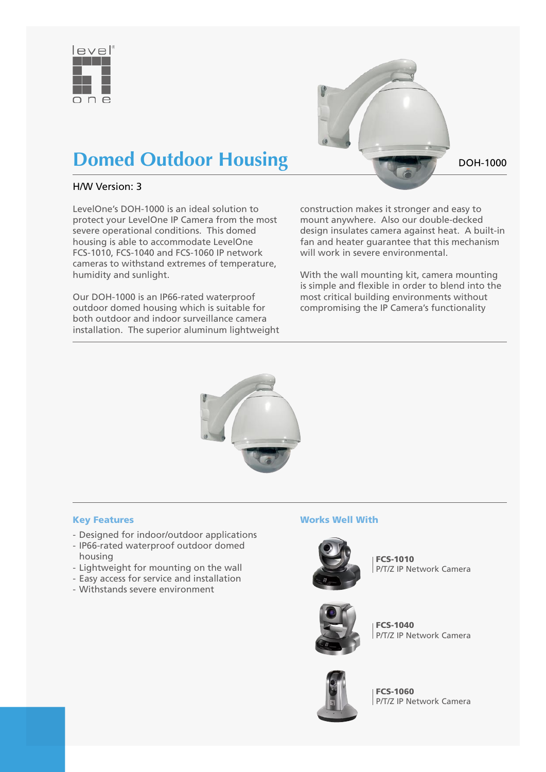



## **Domed Outdoor Housing DOM-1000**

#### H/W Version: 3

LevelOne's DOH-1000 is an ideal solution to protect your LevelOne IP Camera from the most severe operational conditions. This domed housing is able to accommodate LevelOne FCS-1010, FCS-1040 and FCS-1060 IP network cameras to withstand extremes of temperature, humidity and sunlight.

Our DOH-1000 is an IP66-rated waterproof outdoor domed housing which is suitable for both outdoor and indoor surveillance camera installation. The superior aluminum lightweight construction makes it stronger and easy to mount anywhere. Also our double-decked design insulates camera against heat. A built-in fan and heater guarantee that this mechanism will work in severe environmental.

With the wall mounting kit, camera mounting is simple and flexible in order to blend into the most critical building environments without compromising the IP Camera's functionality



#### Key Features

- Designed for indoor/outdoor applications
- IP66-rated waterproof outdoor domed housing
- Lightweight for mounting on the wall
- Easy access for service and installation
- Withstands severe environment

#### Works Well With



FCS-1010 P/T/Z IP Network Camera



FCS-1040 P/T/Z IP Network Camera



FCS-1060 P/T/Z IP Network Camera